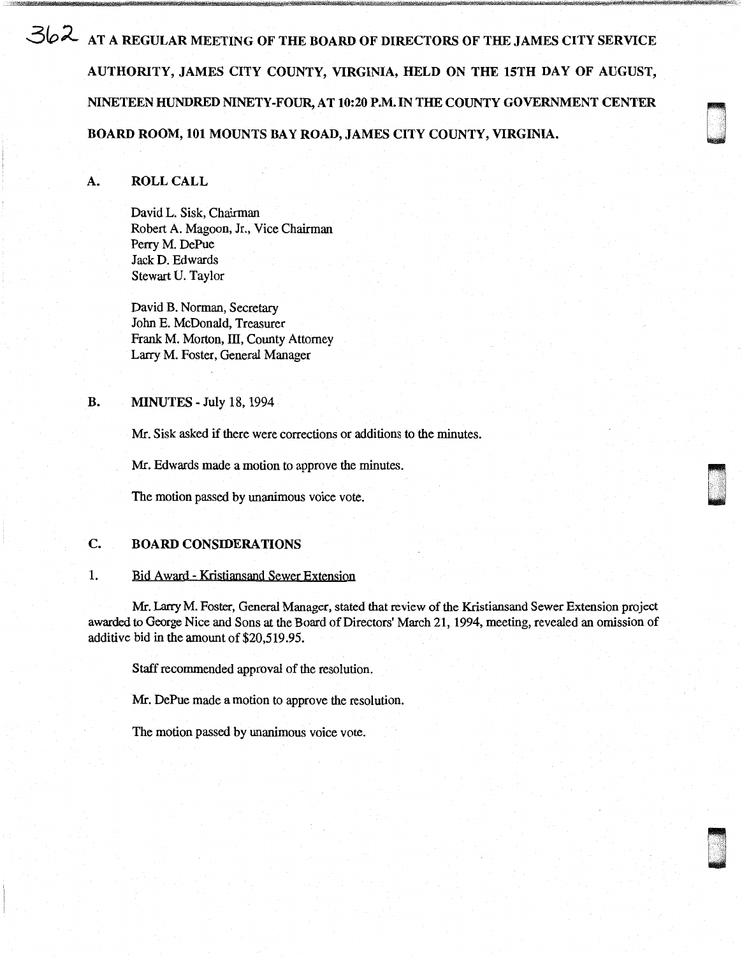362 AT A REGULAR MEETING OF THE BOARD OF DIRECTORS OF THE JAMES CITY SERVICE AUTHORITY, JAMES CITY COUNTY, VIRGINIA, HELD ON THE 15TH DAY OF AUGUST, NINETEEN HUNDRED NINETY-FOUR, AT 10:20 P.M. IN THE COUNTY GOVERNMENT CENTER BOARD ROOM, 101 MOUNTS BAY ROAD, JAMES CITY COUNTY, VIRGINIA.

awa<br>Digaal

u .

u .<br>u .<br>u . '

# A. ROLL CALL

David L. Sisk, Chairman Robert A. Magoon, Jr., Vice Chairman Perry M. DePue Jack D. Edwards Stewart U. Taylor

David B. Norman, Secretary John E. McDonald, Treasurer Frank M. Morton, III, County Attorney Larry M. Foster, General Manager

## **B. MINUTES** - July 18, 1994

Mr. Sisk asked if there were corrections or additions to the minutes.

Mr. Edwards made a motion to approve the minutes.

The motion passed by unanimous voice vote.

## C. BOARD CONSIDERATIONS

## 1. Bid Award - Kristiansand Sewer Extension

Mr. Larry M. Foster, General Manager, stated that review of the Kristiansand Sewer Extension project awarded to George Nice and Sons at the Board of Directors' March 21, 1994, meeting, revealed an omission of additive bid in the amount of \$20,519 .95.

Staff recommended approval of the resolution.

Mr. DePue made a motion to approve the resolution.

The motion passed by unanimous voice vote.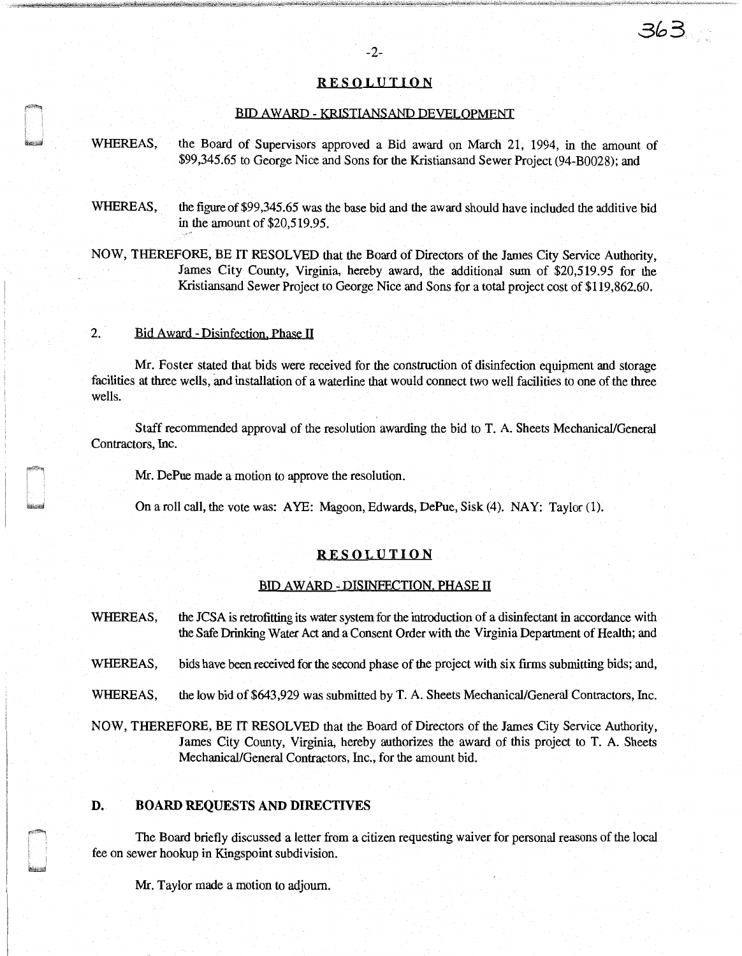## RESOLUTION

#### BID AWARD - KRISTIANSAND DEVELOPMENT

WHEREAS, the Board of Supervisors approved a Bid award on March 21, 1994, in the amount of \$99,345.65 to George Nice and Sons for the Kristiansand Sewer Project (94-B0028); and

WHEREAS, the figure of \$99,345.65 was the base bid and the award should have included the additive bid in the amount of \$20,519.95.

NOW, THEREFORE, BE IT RESOLVED that the Board of Directors of the James City Service Authority, James City County, Virginia, hereby award, the additional sum of \$20,519.95 for the Kristiansand Sewer Project to George Nice and Sons for a total project cost of \$119,862.60.

## 2. Bid Award-Disinfection. Phase II

Mr. Foster stated that bids were received for the construction of disinfection equipment and storage facilities at three wells, and installation of a waterline that would connect two well facilities to one of the three wells.

Staff recommended approval of the resolution awarding the bid to T. A. Sheets Mechanical/General Contractors, Inc.

Mr. DePue made a motion to approve the resolution.

On a roll call, the vote was: A YE: Magoon, Edwards, DePue, Sisk (4). NAY: Taylor (1).

#### RESOLUTION

## BID AWARD - DISINFECTION. PHASE II

WHEREAS, the JCSA is retrofitting its water system for the introduction of a disinfectant in accordance with the Safe Drinking Water Act and a Consent Order with the Virginia Department of Health; and

WHEREAS, bids have been received for the second phase of the project with six firms submitting bids; and,

WHEREAS, the low bid of \$643,929 was submitted by T. A. Sheets Mechanical/General Contractors, Inc.

NOW, THEREFORE, BE IT RESOLVED that the Board of Directors of the James City Service Authority, James City County, Virginia, hereby authorizes the award of this project to T. A. Sheets Mechanical/General Contractors, Inc., for the amount bid.

## D. BOARD REQUESTS AND DIRECTIVES

The Board briefly discussed a letter from a citizen requesting waiver for personal reasons of the local fee on sewer hookup in Kingspoint subdivision.

Mr. Taylor made a motion to adjourn.